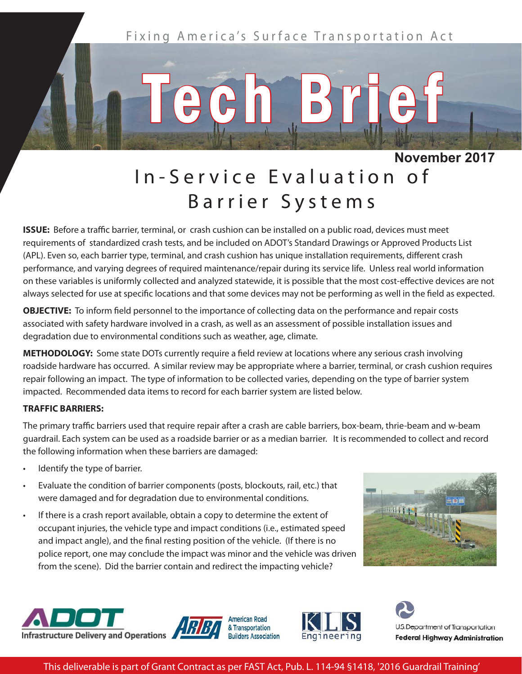

## In-Service Evaluation of Barrier Systems

**ISSUE:** Before a traffic barrier, terminal, or crash cushion can be installed on a public road, devices must meet requirements of standardized crash tests, and be included on ADOT's Standard Drawings or Approved Products List (APL). Even so, each barrier type, terminal, and crash cushion has unique installation requirements, different crash performance, and varying degrees of required maintenance/repair during its service life. Unless real world information on these variables is uniformly collected and analyzed statewide, it is possible that the most cost-effective devices are not always selected for use at specific locations and that some devices may not be performing as well in the field as expected.

**OBJECTIVE:** To inform field personnel to the importance of collecting data on the performance and repair costs associated with safety hardware involved in a crash, as well as an assessment of possible installation issues and degradation due to environmental conditions such as weather, age, climate.

**METHODOLOGY:** Some state DOTs currently require a field review at locations where any serious crash involving roadside hardware has occurred. A similar review may be appropriate where a barrier, terminal, or crash cushion requires repair following an impact. The type of information to be collected varies, depending on the type of barrier system impacted. Recommended data items to record for each barrier system are listed below.

## **TRAFFIC BARRIERS:**

The primary traffic barriers used that require repair after a crash are cable barriers, box-beam, thrie-beam and w-beam guardrail. Each system can be used as a roadside barrier or as a median barrier. It is recommended to collect and record the following information when these barriers are damaged:

- Identify the type of barrier.
- Evaluate the condition of barrier components (posts, blockouts, rail, etc.) that were damaged and for degradation due to environmental conditions.
- If there is a crash report available, obtain a copy to determine the extent of occupant injuries, the vehicle type and impact conditions (i.e., estimated speed and impact angle), and the final resting position of the vehicle. (If there is no police report, one may conclude the impact was minor and the vehicle was driven from the scene). Did the barrier contain and redirect the impacting vehicle?











This deliverable is part of Grant Contract as per FAST Act, Pub. L. 114-94 §1418, '2016 Guardrail Training'